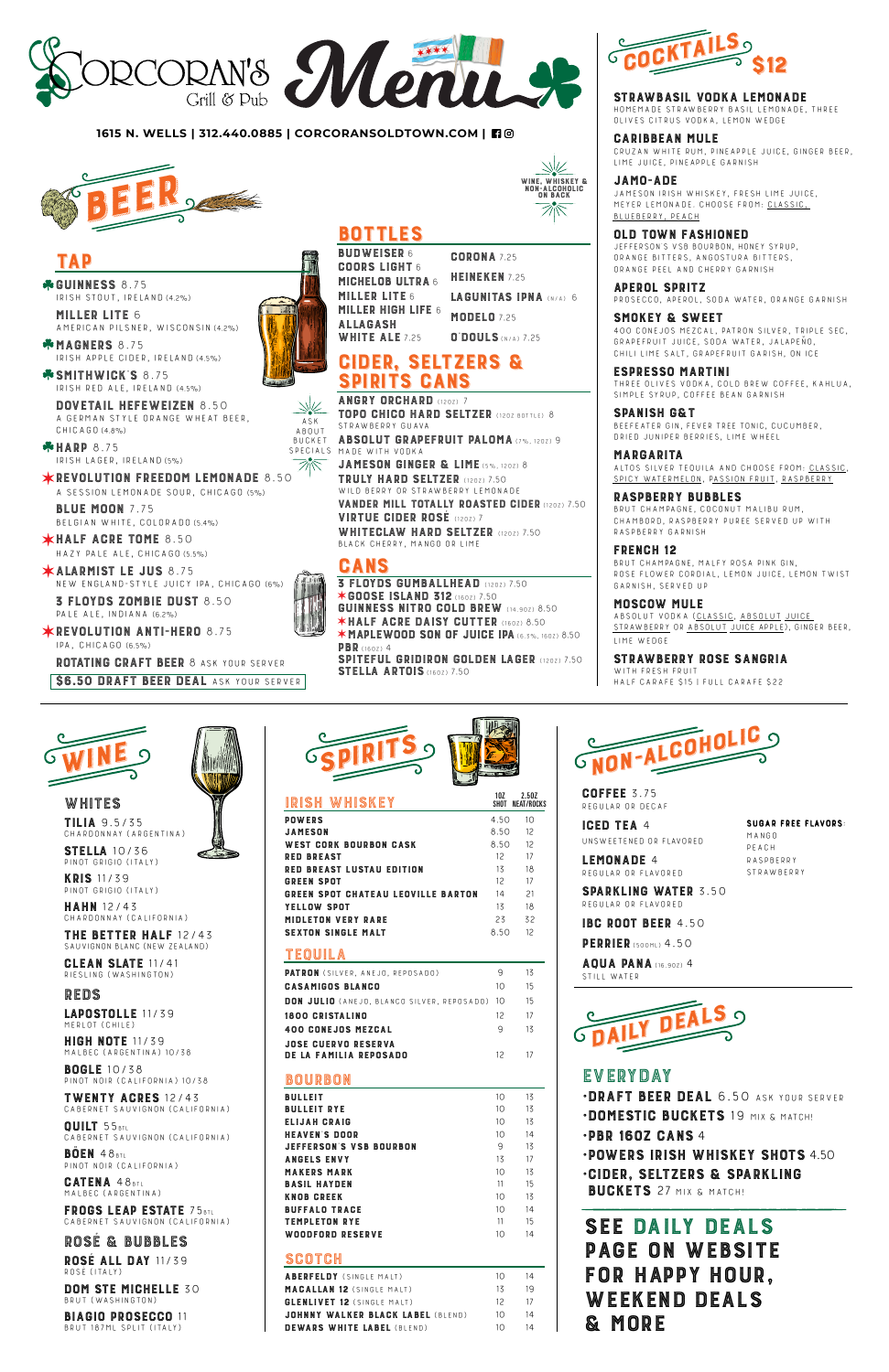**GUFFEE** 5.75<br>Regular or dec Regular or decaf

ICED TEA 4 Unsweetened or flavored LEMONADE 4

SUGAR FREE FLAVORS: Mango Peach **RASPBERRY STRAWBERRY** 



#### **1615 N. WELLS | 312.440.0885 | CORCORANSOLDTOWN.COM |**

WHITES<br>TILIA 9.5/35 TILIA 9.5/35 Chardonnay (Argentina)

MERLOT (CHILE)<br>**HIGH NOTE** 11/39 HIGH NOTE 11/39 Malbec (Argentina) 10/38 Regular or flavored

PERRIER (500ML) 4.50

SPARKLING WATER 3.50 Regular or flavored

IBC ROOT BEER 4.50

AQUA PANA (16.9OZ) 4 Still water

DOM STE MICHELLE 30 Brut (Washington)

STELLA 10/36 Pinot Grigio (Italy)

KRIS 11/39 Pinot Grigio (Italy)

•POWERS IRISH WHISKEY SHOTS 4.50 •CIDER, SELTZERS & SPARKLING BUCKETS 27 MIX & MATCH!

HAHN 12/43 Chardonnay (California)

**THE BETTER HALF** T2743<br>SAUVIGNON BLANC (NEW ZEALAND)

CLEAN SLATE 11/41 Riesling (Washington)

REDS

BOGLE 10/38 Pinot Noir (California) 10/38

TWENTY ACRES 12/43 Cabernet Sauvignon (California)

QUILT 55BTL Cabernet Sauvignon (California)

BÖEN 48BTL Pinot Noir (California)

CATENA 48BTL Malbec (Argentina)

FRUGS LEAP ESIAIE / 5BTL<br>Cabernet Sauvignon (California)

ROSÉ & BUBBLES

ROSÉ ALL DAY 11/39 ROSE (ITALY)

# CIDER, SELTZERS & **SPIRITS GANS**<br>Angry Orchard (1202) 7

ANGRY URGHARD (1202) /<br>Tana culca uann eelt TOPO CHICO HARD SELTZER (12OZ BOTTLE) 8 Strawberry Guava ABSOLUT GRAPEFRUIT PALOMA (7%, 12OZ) 9 ASK<br>ABOUT

BIAGIO PROSECCO 11 Brut 187ml split (Italy)

### EVERYDAY

**·DRAFT BEER DEAL 6.50 ASK YOUR SERVER** 

Made with Vodka BUCKET BUCKET<br>SPECIALS  $SPEUIAL5$ 

**JAMESON GINGER & LIME (5%, 1202) 8**<br>**TRULY HARD SELTZER (1202) 7.50 IRULY HARU SELIZER** (1202) /.50<br>Wild beddy od stdawbeddy i emona

WILD BERRY OR STRAWBERRY LEMONADE<br>WILD BERRY'' ROBALIY ROLOFER OF **VANDER MILL TOTALLY ROASTED CIDER (1202) 7.50<br>VIRTUE CIDER ROSÉ (1202) 7** 

VIRTUE GIDER RUSE (1202) /<br>WHITEOLAW HAND CELTZE

•DOMESTIC BUCKETS 19 MIX & MATCH!

### •PBR 16OZ CANS 4

WHITE**GLAW HARD SELTZER** (1202) 7.50<br>BLACK CHEPPY MANGO OP LIME Black Cherry, Mango or Lime

**GANS**<br>3 FLOYDS GUMBALLHEAD (1202) 7.50<br>\*GOOSE ISLAND 312 (100) 7.50 ✶GOOSE ISLAND 312 (16OZ) 7.50 GUINNESS NITRO COLD BREW (14.90Z) 8.50 ✶HALF ACRE DAISY CUTTER (16OZ) 8.50 **\*MAPLEWOOD SON OF JUICE IPA (6.3%, 1602) 8.50**<br>PBR (1602) 4 PBR (160Z) 4<br>SDITFFIII SPITEFUL GRIDIRUN GULDEN LAGER (1202) /.50<br>Stella adtois (1607) 7.50 STELLA ARTOIS (160Z) 7.50





**Guinness** 8.75<br>Irish stailt irela Irish stout, Ireland (4.2%)





MIGHELUB ULIKA 6<br>MILLER LITE 6 **MILLER LITE 6 MILLER HIGH LIFE 6**<br>ALLAGASH ALLAGASH<br>White ale WHILE ALE 7.25

# LAGUNITAS IPNA (N/A) 6

LAPOSTOLLE 11/39



**MAGNERS 8.75** Irish apple cider, Ireland (4.5%)

**\*SMITHWICK'S 8.75** Irish red ale, Ireland (4.5%)

**DUVETAIL HEFEWEIZEN** 8.50<br>A GERMAN STYLE ORANGE WHEAT B A GERMAN STYLE ORANGE WHEAT BEER,<br>CHICACO (4.99) CHICAGO (4.8%)

| BOURBON                        |    |    |
|--------------------------------|----|----|
| <b>BULLEIT</b>                 | 10 | 13 |
| <b>BULLEIT RYE</b>             | 10 | 13 |
| ELIJAH CRAIG                   | 10 | 13 |
| <b>HEAVEN'S DOOR</b>           | 10 | 14 |
| <b>JEFFERSON'S VSB BOURBON</b> | 9  | 13 |
| <b>ANGELS ENVY</b>             | 13 | 17 |
| <b>MAKERS MARK</b>             | 10 | 13 |
| <b>BASIL HAYDEN</b>            | 11 | 15 |
| <b>KNOB CREEK</b>              | 10 | 13 |
| <b>BUFFALO TRACE</b>           | 10 | 14 |
| <b>TEMPLETON RYE</b>           | 11 | 15 |
| WOODFORD RESERVE               | 10 | 14 |
| SCOTCH                         |    |    |

REVULUTIUN FREEDUM LEMUNADE 8.50<br>A session lemonade soud-chicago (s%) A session lemonade sour, Chicago (5%)

BLUE MUUN 7.75<br>Belgian white coll BELGIAN WHITE, CULURADU (5.4%)

**\*HALF ACRE TOME 8.50** 

HAZY PALE ALE, CHICAGO (5.5%)<br>**KALARMIST LE JUS** 8.75 ALARMISI LE JUS 8.75<br>New england-style juicy New England-Style Juicy IPA, Chicago (6%)

3 FLOYDS ZOMBIE DUST 8.50 PALE ALE, INDIANA (6.2%)

### TEQUILA

 $*$ REVOLUTION ANTI-HERO 8.75 IPA, Chicago (6.5%)

| <b>PATRON</b> (SILVER, ANEJO, REPOSADO)              | q    | 13 |
|------------------------------------------------------|------|----|
| <b>CASAMIGOS BLANCO</b>                              | 10 I | 15 |
| <b>DON JULIO</b> (ANEJO, BLANCO SILVER, REPOSADO) 10 |      | 15 |
|                                                      |      |    |

| 1800 CRISTALINO            | 12 17 |    |
|----------------------------|-------|----|
| 400 CONEJOS MEZCAL         | Q,    | 13 |
| <b>JOSE CUERVO RESERVA</b> |       |    |
| DE LA FAMILIA REPOSADO     | 12    | 17 |
|                            |       |    |

**OLD TOWN FASHIONED**<br>JEFFERSON'S VSB BOURBON. HONEY SYRUP. ORANGE BITTERS, ANGOSTURA BITTERS, orange peel and cherry garnish

| SUUIUH                            |          |    |
|-----------------------------------|----------|----|
| <b>ABERFELDY</b> (SINGLE MALT)    | $1 \cap$ | 14 |
| <b>MACALLAN 12 (SINGLE MALT)</b>  | 13       | 19 |
| <b>GLENLIVET 12</b> (SINGLE MALT) | 12       | 17 |
| JOHNNY WALKER BLACK LABEL (BLEND) | $1 \cap$ | 14 |
| <b>DEWARS WHITE LABEL (BLEND)</b> | $1 \cap$ | 14 |
|                                   |          |    |

SMUNEY & SWEET<br>400 Conejos Mezcal, patron Silver, Triple Sec,<br>SPAREERULT JULEE SORA WATER JALAREÑO Grapefruit Juice, Soda Water, Jalapeño, Chili Lime Salt, grapefruit garish, on ice

SPANISH G& I<br>Beefeater gin, Fever Tree Tonic, cucumber,<br>Baler, Unuaer Berales, Lime Wueel dried juniper berries, lime wheel

**MARGARITA**<br>ALTOS SILVER TEQUILA AND CHOOSE FROM: CLASSIC, SPICY WATERMELON, PASSION FRUIT, RASPBERRY

| IRISH WHISKEY                             | 10Z<br>SHOT | 2.507<br>NEAT/ROCKS |
|-------------------------------------------|-------------|---------------------|
| <b>POWERS</b>                             | 4.50        | 10                  |
| JAMESON                                   | 8.50        | 12                  |
| WEST CORK BOURBON CASK                    | 8.50        | 12                  |
| <b>RED BREAST</b>                         | 12          | 17                  |
| <b>RED BREAST LUSTAU EDITION</b>          | 13          | 18                  |
| <b>GREEN SPOT</b>                         | $12^{12}$   | 17                  |
| <b>GREEN SPOT CHATEAU LEOVILLE BARTON</b> | 14          | 21                  |
| YELLOW SPOT                               | 13          | 18                  |
| <b>MIDLETON VERY RARE</b>                 | 23          | 32                  |
| <b>SEXTON SINGLE MALT</b>                 | 8.50        | $12^{12}$           |
|                                           |             |                     |

**RASPBERRY BUBBLES**<br>BRUT CHAMPAGNE, COCONUT MALIBU RUM. CHAMBORD, RASPBERRY PUREE SERVED UP WITH raspberry garnish

**FRENCH 12**<br>BRUT CHAMPAGNE. MALFY ROSA PINK GIN. Brut champagne, Malfy Rosa Pink Gin, RUSE FLUWER GURDIAL, LEMUN JUIGE, LEMUN TWIST<br>CARNICH - SERVER HR garnish, Served up

WITH FRESH FRUIT<br>UALE CADAEE C1E L Half Carafe \$15 | Full Carafe \$22

**COORS LIGHT 6** COORS LIGHT 6 **CORONA 7.25** HEINEKEN 7.25 **MODELO 7.25** O'DOULS (N/A) 7.25

## SEE DAILY DEALS<br>PAGE ON WEBSITE PAGE UN WEBSIIE<br>End Haddy Haiid FUR HAPPY HUUR,<br>WEEKEND DEAIS WEEKEND DEALS & MORE

MILLER LITE 6 American pilsner, Wisconsin (4.2%)

HARP 8.75 Irish lager, Ireland (5%)

ROTATING CRAFT BEER 8 ask your server





# **TAP**

Homemade strawberry basil lemonade, Three Olives Citrus Vodka, Lemon Wedge

CARIBBEAN MULE Cruzan white rum, pineapple juice, ginger beer, lime juice, pineapple garnish

WINE, WHISKEY & NON-ALCOHOLIC<br>
ON BACK<br>
The Contract of Texas

JAMO-ADE Jameson Irish Whiskey, fresh lime juice, Meyer lemonade. choose from: Classic, Blueberry, Peach

APEROL SPRITZ Prosecco, Aperol, soda water, orange garnish

ESPRESSO MARTINI Three olives vodka, cold brew coffee, kahlua, simple syrup, coffee bean garnish

MOSCOW MULE Absolut vodka (Classic, Absolut Juice Strawberry or Absolut Juice Apple), ginger beer, lime wedge

STRAWBERRY ROSE SANGRIA



### **STRAWBASIL VODKA LEMONADE**<br>HOMEMADE STRAWBERRY BASIL LEMONADE. THREE